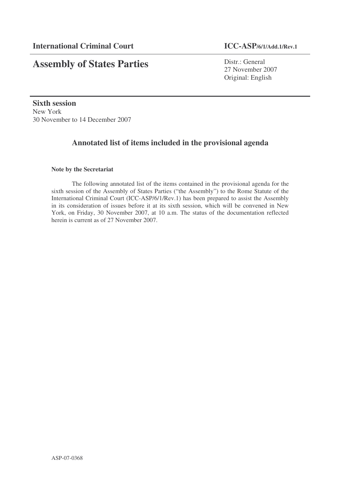# **Assembly of States Parties**

Distr.: General 27 November 2007 Original: English

**Sixth session** New York 30 November to 14 December 2007

## **Annotated list of items included in the provisional agenda**

## **Note by the Secretariat**

The following annotated list of the items contained in the provisional agenda for the sixth session of the Assembly of States Parties ("the Assembly") to the Rome Statute of the International Criminal Court (ICC-ASP/6/1/Rev.1) has been prepared to assist the Assembly in its consideration of issues before it at its sixth session, which will be convened in New York, on Friday, 30 November 2007, at 10 a.m. The status of the documentation reflected herein is current as of 27 November 2007.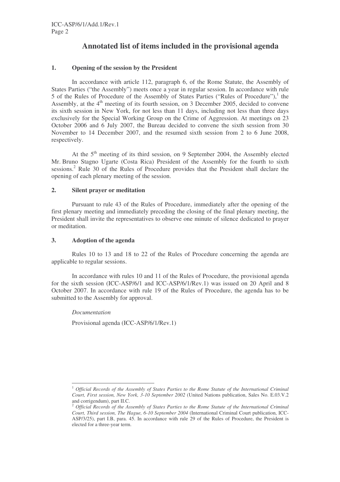## **Annotated list of items included in the provisional agenda**

## **1. Opening of the session by the President**

In accordance with article 112, paragraph 6, of the Rome Statute, the Assembly of States Parties ("the Assembly") meets once a year in regular session. In accordance with rule 5 of the Rules of Procedure of the Assembly of States Parties ("Rules of Procedure"),<sup>1</sup> the Assembly, at the 4<sup>th</sup> meeting of its fourth session, on 3 December 2005, decided to convene its sixth session in New York, for not less than 11 days, including not less than three days exclusively for the Special Working Group on the Crime of Aggression. At meetings on 23 October 2006 and 6 July 2007, the Bureau decided to convene the sixth session from 30 November to 14 December 2007, and the resumed sixth session from 2 to 6 June 2008, respectively.

At the 5<sup>th</sup> meeting of its third session, on 9 September 2004, the Assembly elected Mr. Bruno Stagno Ugarte (Costa Rica) President of the Assembly for the fourth to sixth sessions.<sup>2</sup> Rule 30 of the Rules of Procedure provides that the President shall declare the opening of each plenary meeting of the session.

## **2. Silent prayer or meditation**

Pursuant to rule 43 of the Rules of Procedure, immediately after the opening of the first plenary meeting and immediately preceding the closing of the final plenary meeting, the President shall invite the representatives to observe one minute of silence dedicated to prayer or meditation.

## **3. Adoption of the agenda**

Rules 10 to 13 and 18 to 22 of the Rules of Procedure concerning the agenda are applicable to regular sessions.

In accordance with rules 10 and 11 of the Rules of Procedure, the provisional agenda for the sixth session (ICC-ASP/6/1 and ICC-ASP/6/1/Rev.1) was issued on 20 April and 8 October 2007. In accordance with rule 19 of the Rules of Procedure, the agenda has to be submitted to the Assembly for approval.

*Documentation*

Provisional agenda (ICC-ASP/6/1/Rev.1)

<sup>1</sup> *Official Records of the Assembly of States Parties to the Rome Statute of the International Criminal Court, First session, New York, 3-10 September 2002* (United Nations publication, Sales No. E.03.V.2 and corrigendum), part II.C.

<sup>2</sup> *Official Records of the Assembly of States Parties to the Rome Statute of the International Criminal Court, Third session, The Hague, 6-10 September 2004* (International Criminal Court publication, ICC-ASP/3/25), part I.B, para. 45. In accordance with rule 29 of the Rules of Procedure, the President is elected for a three-year term.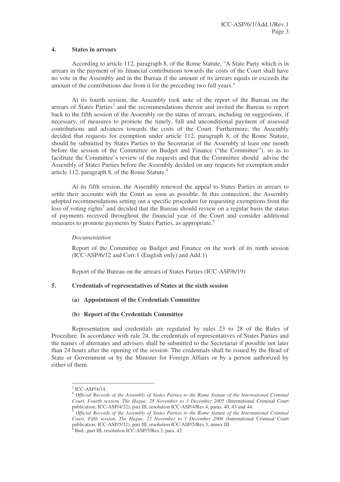#### **4. States in arrears**

According to article 112, paragraph 8, of the Rome Statute, "A State Party which is in arrears in the payment of its financial contributions towards the costs of the Court shall have no vote in the Assembly and in the Bureau if the amount of its arrears equals or exceeds the amount of the contributions due from it for the preceding two full years."

At its fourth session, the Assembly took note of the report of the Bureau on the arrears of States Parties<sup>3</sup> and the recommendations therein and invited the Bureau to report back to the fifth session of the Assembly on the status of arrears, including on suggestions, if necessary, of measures to promote the timely, full and unconditional payment of assessed contributions and advances towards the costs of the Court. Furthermore, the Assembly decided that requests for exemption under article 112, paragraph 8, of the Rome Statute, should be submitted by States Parties to the Secretariat of the Assembly at least one month before the session of the Committee on Budget and Finance ("the Committee"), so as to facilitate the Committee's review of the requests and that the Committee should advise the Assembly of States Parties before the Assembly decided on any requests for exemption under article 112, paragraph 8, of the Rome Statute.<sup>4</sup>

At its fifth session, the Assembly renewed the appeal to States Parties in arrears to settle their accounts with the Court as soon as possible. In this connection, the Assembly adopted recommendations setting out a specific procedure for requesting exemptions from the loss of voting rights<sup>5</sup> and decided that the Bureau should review on a regular basis the status of payments received throughout the financial year of the Court and consider additional measures to promote payments by States Parties, as appropriate. 6

## *Documentation*

Report of the Committee on Budget and Finance on the work of its ninth session (ICC-ASP/6/12 and Corr.1 (English only) and Add.1)

Report of the Bureau on the arrears of States Parties (ICC-ASP/6/19)

## **5. Credentials of representatives of States at the sixth session**

**(a) Appointment of the Credentials Committee**

## **(b) Report of the Credentials Committee**

Representation and credentials are regulated by rules 23 to 28 of the Rules of Procedure. In accordance with rule 24, the credentials of representatives of States Parties and the names of alternates and advisers shall be submitted to the Secretariat if possible not later than 24 hours after the opening of the session. The credentials shall be issued by the Head of State or Government or by the Minister for Foreign Affairs or by a person authorized by either of them.

 $3$  ICC-ASP/4/14.

<sup>4</sup> *Official Records of the Assembly of States Parties to the Rome Statute of the International Criminal Court, Fourth session, The Hague, 28 November to 3 December 2005* (International Criminal Court publication, ICC-ASP/4/32), part III, resolution ICC-ASP/4/Res.4, paras. 40, 43 and 44.

<sup>5</sup> *Official Records of the Assembly of States Parties to the Rome Statute of the International Criminal Court, Fifth session, The Hague, 23 November to 1 December 2006* (International Criminal Court publication, ICC-ASP/5/32), part III, resolution ICC-ASP/5/Res.3, annex III.

 $6$  Ibid., part III, resolution ICC-ASP/5/Res.3, para. 42.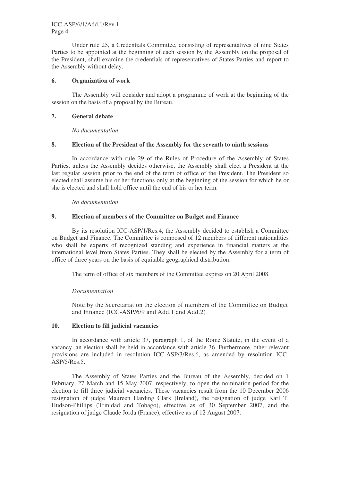Under rule 25, a Credentials Committee, consisting of representatives of nine States Parties to be appointed at the beginning of each session by the Assembly on the proposal of the President, shall examine the credentials of representatives of States Parties and report to the Assembly without delay.

#### **6. Organization of work**

The Assembly will consider and adopt a programme of work at the beginning of the session on the basis of a proposal by the Bureau.

## **7. General debate**

*No documentation*

#### **8. Election of the President of the Assembly for the seventh to ninth sessions**

In accordance with rule 29 of the Rules of Procedure of the Assembly of States Parties, unless the Assembly decides otherwise, the Assembly shall elect a President at the last regular session prior to the end of the term of office of the President. The President so elected shall assume his or her functions only at the beginning of the session for which he or she is elected and shall hold office until the end of his or her term.

*No documentation*

#### **9. Election of members of the Committee on Budget and Finance**

By its resolution ICC-ASP/1/Res.4, the Assembly decided to establish a Committee on Budget and Finance. The Committee is composed of 12 members of different nationalities who shall be experts of recognized standing and experience in financial matters at the international level from States Parties. They shall be elected by the Assembly for a term of office of three years on the basis of equitable geographical distribution.

The term of office of six members of the Committee expires on 20 April 2008.

## *Documentation*

Note by the Secretariat on the election of members of the Committee on Budget and Finance (ICC-ASP/6/9 and Add.1 and Add.2)

## **10. Election to fill judicial vacancies**

In accordance with article 37, paragraph 1, of the Rome Statute, in the event of a vacancy, an election shall be held in accordance with article 36. Furthermore, other relevant provisions are included in resolution ICC-ASP/3/Res.6, as amended by resolution ICC-ASP/5/Res.5.

The Assembly of States Parties and the Bureau of the Assembly, decided on 1 February, 27 March and 15 May 2007, respectively, to open the nomination period for the election to fill three judicial vacancies. These vacancies result from the 10 December 2006 resignation of judge Maureen Harding Clark (Ireland), the resignation of judge Karl T. Hudson-Phillips (Trinidad and Tobago), effective as of 30 September 2007, and the resignation of judge Claude Jorda (France), effective as of 12 August 2007.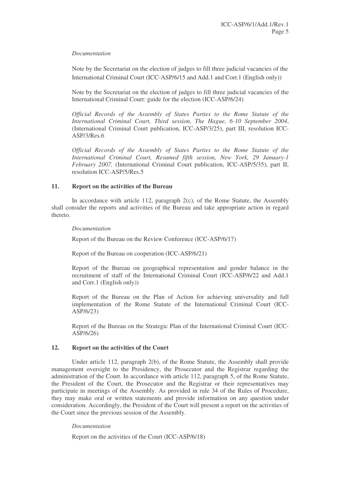#### *Documentation*

Note by the Secretariat on the election of judges to fill three judicial vacancies of the International Criminal Court (ICC-ASP/6/15 and Add.1 and Corr.1 (English only))

Note by the Secretariat on the election of judges to fill three judicial vacancies of the International Criminal Court: guide for the election (ICC-ASP/6/24)

*Official Records of the Assembly of States Parties to the Rome Statute of the International Criminal Court, Third session, The Hague, 6-10 September 2004*, (International Criminal Court publication, ICC-ASP/3/25), part III, resolution ICC-ASP/3/Res.6

*Official Records of the Assembly of States Parties to the Rome Statute of the International Criminal Court, Resumed fifth session, New York, 29 January-1 February 2007,* (International Criminal Court publication, ICC-ASP/5/35), part II, resolution ICC-ASP/5/Res.5

#### **11. Report on the activities of the Bureau**

In accordance with article 112, paragraph  $2(c)$ , of the Rome Statute, the Assembly shall consider the reports and activities of the Bureau and take appropriate action in regard thereto.

#### *Documentation*

Report of the Bureau on the Review Conference (ICC-ASP/6/17)

Report of the Bureau on cooperation (ICC-ASP/6/21)

Report of the Bureau on geographical representation and gender balance in the recruitment of staff of the International Criminal Court (ICC-ASP/6/22 and Add.1 and Corr.1 (English only))

Report of the Bureau on the Plan of Action for achieving universality and full implementation of the Rome Statute of the International Criminal Court (ICC-ASP/6/23)

Report of the Bureau on the Strategic Plan of the International Criminal Court (ICC-ASP/6/26)

#### **12. Report on the activities of the Court**

Under article 112, paragraph 2(b), of the Rome Statute, the Assembly shall provide management oversight to the Presidency, the Prosecutor and the Registrar regarding the administration of the Court. In accordance with article 112, paragraph 5, of the Rome Statute, the President of the Court, the Prosecutor and the Registrar or their representatives may participate in meetings of the Assembly. As provided in rule 34 of the Rules of Procedure, they may make oral or written statements and provide information on any question under consideration. Accordingly, the President of the Court will present a report on the activities of the Court since the previous session of the Assembly.

## *Documentation*

Report on the activities of the Court (ICC-ASP/6/18)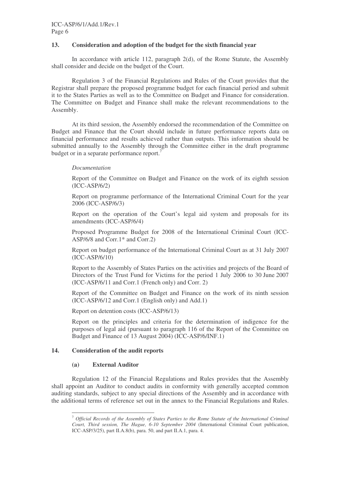## **13. Consideration and adoption of the budget for the sixth financial year**

In accordance with article 112, paragraph 2(d), of the Rome Statute, the Assembly shall consider and decide on the budget of the Court.

Regulation 3 of the Financial Regulations and Rules of the Court provides that the Registrar shall prepare the proposed programme budget for each financial period and submit it to the States Parties as well as to the Committee on Budget and Finance for consideration. The Committee on Budget and Finance shall make the relevant recommendations to the Assembly.

At its third session, the Assembly endorsed the recommendation of the Committee on Budget and Finance that the Court should include in future performance reports data on financial performance and results achieved rather than outputs. This information should be submitted annually to the Assembly through the Committee either in the draft programme budget or in a separate performance report.<sup>7</sup>

## *Documentation*

Report of the Committee on Budget and Finance on the work of its eighth session  $(ICC-ASP/6/2)$ 

Report on programme performance of the International Criminal Court for the year 2006 (ICC-ASP/6/3)

Report on the operation of the Court's legal aid system and proposals for its amendments (ICC-ASP/6/4)

Proposed Programme Budget for 2008 of the International Criminal Court (ICC-ASP/6/8 and Corr.1\* and Corr.2)

Report on budget performance of the International Criminal Court as at 31 July 2007 (ICC-ASP/6/10)

Report to the Assembly of States Parties on the activities and projects of the Board of Directors of the Trust Fund for Victims for the period 1 July 2006 to 30 June 2007 (ICC-ASP/6/11 and Corr.1 (French only) and Corr. 2)

Report of the Committee on Budget and Finance on the work of its ninth session (ICC-ASP/6/12 and Corr.1 (English only) and Add.1)

Report on detention costs (ICC-ASP/6/13)

Report on the principles and criteria for the determination of indigence for the purposes of legal aid (pursuant to paragraph 116 of the Report of the Committee on Budget and Finance of 13 August 2004) (ICC-ASP/6/INF.1)

## **14. Consideration of the audit reports**

## **(a) External Auditor**

Regulation 12 of the Financial Regulations and Rules provides that the Assembly shall appoint an Auditor to conduct audits in conformity with generally accepted common auditing standards, subject to any special directions of the Assembly and in accordance with the additional terms of reference set out in the annex to the Financial Regulations and Rules.

<sup>7</sup> *Official Records of the Assembly of States Parties to the Rome Statute of the International Criminal Court, Third session, The Hague, 6-10 September 2004* (International Criminal Court publication, ICC-ASP/3/25), part II.A.8(b), para. 50, and part II.A.1, para. 4.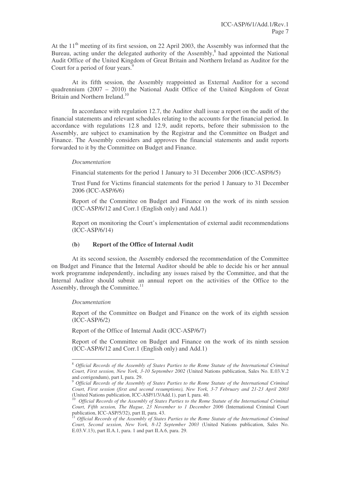At the  $11<sup>th</sup>$  meeting of its first session, on 22 April 2003, the Assembly was informed that the Bureau, acting under the delegated authority of the Assembly,<sup>8</sup> had appointed the National Audit Office of the United Kingdom of Great Britain and Northern Ireland as Auditor for the Court for a period of four years.<sup>9</sup>

At its fifth session, the Assembly reappointed as External Auditor for a second quadrennium (2007 – 2010) the National Audit Office of the United Kingdom of Great Britain and Northern Ireland.<sup>10</sup>

In accordance with regulation 12.7, the Auditor shall issue a report on the audit of the financial statements and relevant schedules relating to the accounts for the financial period. In accordance with regulations 12.8 and 12.9, audit reports, before their submission to the Assembly, are subject to examination by the Registrar and the Committee on Budget and Finance. The Assembly considers and approves the financial statements and audit reports forwarded to it by the Committee on Budget and Finance.

#### *Documentation*

Financial statements for the period 1 January to 31 December 2006 (ICC-ASP/6/5)

Trust Fund for Victims financial statements for the period 1 January to 31 December 2006 (ICC-ASP/6/6)

Report of the Committee on Budget and Finance on the work of its ninth session (ICC-ASP/6/12 and Corr.1 (English only) and Add.1)

Report on monitoring the Court's implementation of external audit recommendations (ICC-ASP/6/14)

## **(b) Report of the Office of Internal Audit**

At its second session, the Assembly endorsed the recommendation of the Committee on Budget and Finance that the Internal Auditor should be able to decide his or her annual work programme independently, including any issues raised by the Committee, and that the Internal Auditor should submit an annual report on the activities of the Office to the Assembly, through the Committee.<sup>11</sup>

#### *Documentation*

Report of the Committee on Budget and Finance on the work of its eighth session (ICC-ASP/6/2)

Report of the Office of Internal Audit (ICC-ASP/6/7)

Report of the Committee on Budget and Finance on the work of its ninth session (ICC-ASP/6/12 and Corr.1 (English only) and Add.1)

<sup>8</sup> *Official Records of the Assembly of States Parties to the Rome Statute of the International Criminal Court, First session, New York, 3-10 September 2002* (United Nations publication, Sales No. E.03.V.2 and corrigendum), part I, para. 29.

<sup>9</sup> *Official Records of the Assembly of States Parties to the Rome Statute of the International Criminal Court, First session (first and second resumptions), New York, 3-7 February and 21-23 April 2003* (United Nations publication, ICC-ASP/1/3/Add.1), part I, para. 40.

<sup>10</sup> *Official Records of the Assembly of States Parties to the Rome Statute of the International Criminal Court, Fifth session, The Hague, 23 November to 1 December 2006* (International Criminal Court publication, ICC-ASP/5/32), part II, para. 43.

<sup>11</sup> *Official Records of the Assembly of States Parties to the Rome Statute of the International Criminal Court, Second session, New York, 8-12 September 2003* (United Nations publication, Sales No. E.03.V.13), part II.A.1, para. 1 and part II.A.6, para. 29.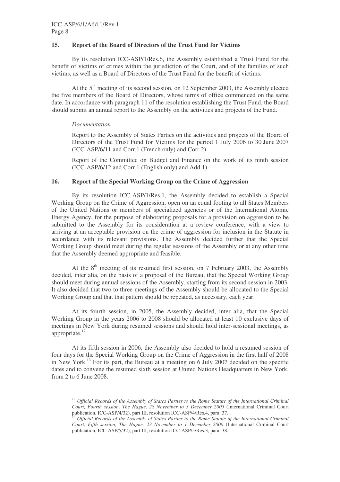## **15. Report of the Board of Directors of the Trust Fund for Victims**

By its resolution ICC-ASP/1/Res.6, the Assembly established a Trust Fund for the benefit of victims of crimes within the jurisdiction of the Court, and of the families of such victims, as well as a Board of Directors of the Trust Fund for the benefit of victims.

At the 5<sup>th</sup> meeting of its second session, on 12 September 2003, the Assembly elected the five members of the Board of Directors, whose terms of office commenced on the same date. In accordance with paragraph 11 of the resolution establishing the Trust Fund, the Board should submit an annual report to the Assembly on the activities and projects of the Fund.

## *Documentation*

Report to the Assembly of States Parties on the activities and projects of the Board of Directors of the Trust Fund for Victims for the period 1 July 2006 to 30 June 2007 (ICC-ASP/6/11 and Corr.1 (French only) and Corr.2)

Report of the Committee on Budget and Finance on the work of its ninth session (ICC-ASP/6/12 and Corr.1 (English only) and Add.1)

#### **16. Report of the Special Working Group on the Crime of Aggression**

By its resolution ICC-ASP/1/Res.1, the Assembly decided to establish a Special Working Group on the Crime of Aggression, open on an equal footing to all States Members of the United Nations or members of specialized agencies or of the International Atomic Energy Agency, for the purpose of elaborating proposals for a provision on aggression to be submitted to the Assembly for its consideration at a review conference, with a view to arriving at an acceptable provision on the crime of aggression for inclusion in the Statute in accordance with its relevant provisions. The Assembly decided further that the Special Working Group should meet during the regular sessions of the Assembly or at any other time that the Assembly deemed appropriate and feasible.

At the  $8<sup>th</sup>$  meeting of its resumed first session, on 7 February 2003, the Assembly decided, inter alia, on the basis of a proposal of the Bureau, that the Special Working Group should meet during annual sessions of the Assembly, starting from its second session in 2003. It also decided that two to three meetings of the Assembly should be allocated to the Special Working Group and that that pattern should be repeated, as necessary, each year.

At its fourth session, in 2005, the Assembly decided, inter alia, that the Special Working Group in the years 2006 to 2008 should be allocated at least 10 exclusive days of meetings in New York during resumed sessions and should hold inter-sessional meetings, as appropriate.<sup>12</sup>

At its fifth session in 2006, the Assembly also decided to hold a resumed session of four days for the Special Working Group on the Crime of Aggression in the first half of 2008 in New York.<sup>13</sup> For its part, the Bureau at a meeting on 6 July 2007 decided on the specific dates and to convene the resumed sixth session at United Nations Headquarters in New York, from 2 to 6 June 2008.

<sup>12</sup> *Official Records of the Assembly of States Parties to the Rome Statute of the International Criminal Court, Fourth session, The Hague, 28 November to 3 December 2005* (International Criminal Court publication, ICC-ASP/4/32), part III, resolution ICC-ASP/4/Res.4, para. 37.

<sup>13</sup> *Official Records of the Assembly of States Parties to the Rome Statute of the International Criminal Court, Fifth session, The Hague, 23 November to 1 December 2006* (International Criminal Court publication, ICC-ASP/5/32), part III, resolution ICC-ASP/5/Res.3, para. 38.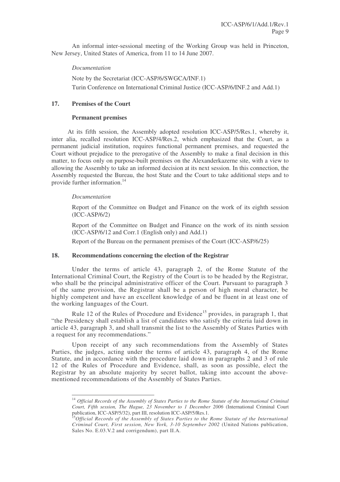An informal inter-sessional meeting of the Working Group was held in Princeton, New Jersey, United States of America, from 11 to 14 June 2007.

#### *Documentation*

Note by the Secretariat (ICC-ASP/6/SWGCA/INF.1) Turin Conference on International Criminal Justice (ICC-ASP/6/INF.2 and Add.1)

#### **17. Premises of the Court**

#### **Permanent premises**

At its fifth session, the Assembly adopted resolution ICC-ASP/5/Res.1, whereby it, inter alia, recalled resolution ICC-ASP/4/Res.2, which emphasized that the Court, as a permanent judicial institution, requires functional permanent premises, and requested the Court without prejudice to the prerogative of the Assembly to make a final decision in this matter, to focus only on purpose-built premises on the Alexanderkazerne site, with a view to allowing the Assembly to take an informed decision at its next session. In this connection, the Assembly requested the Bureau, the host State and the Court to take additional steps and to provide further information. 14

#### *Documentation*

Report of the Committee on Budget and Finance on the work of its eighth session (ICC-ASP/6/2)

Report of the Committee on Budget and Finance on the work of its ninth session (ICC-ASP/6/12 and Corr.1 (English only) and Add.1)

Report of the Bureau on the permanent premises of the Court (ICC-ASP/6/25)

#### **18. Recommendations concerning the election of the Registrar**

Under the terms of article 43, paragraph 2, of the Rome Statute of the International Criminal Court, the Registry of the Court is to be headed by the Registrar, who shall be the principal administrative officer of the Court. Pursuant to paragraph 3 of the same provision, the Registrar shall be a person of high moral character, be highly competent and have an excellent knowledge of and be fluent in at least one of the working languages of the Court.

Rule 12 of the Rules of Procedure and Evidence<sup>15</sup> provides, in paragraph 1, that "the Presidency shall establish a list of candidates who satisfy the criteria laid down in article 43, paragraph 3, and shall transmit the list to the Assembly of States Parties with a request for any recommendations."

Upon receipt of any such recommendations from the Assembly of States Parties, the judges, acting under the terms of article 43, paragraph 4, of the Rome Statute, and in accordance with the procedure laid down in paragraphs 2 and 3 of rule 12 of the Rules of Procedure and Evidence, shall, as soon as possible, elect the Registrar by an absolute majority by secret ballot, taking into account the abovementioned recommendations of the Assembly of States Parties.

<sup>14</sup> *Official Records of the Assembly of States Parties to the Rome Statute of the International Criminal Court, Fifth session, The Hague, 23 November to 1 December 2006* (International Criminal Court publication, ICC-ASP/5/32), part III, resolution ICC-ASP/5/Res.1.

<sup>15</sup>*Official Records of the Assembly of States Parties to the Rome Statute of the International Criminal Court, First session, New York, 3-10 September 2002* (United Nations publication, Sales No. E.03.V.2 and corrigendum), part II.A.